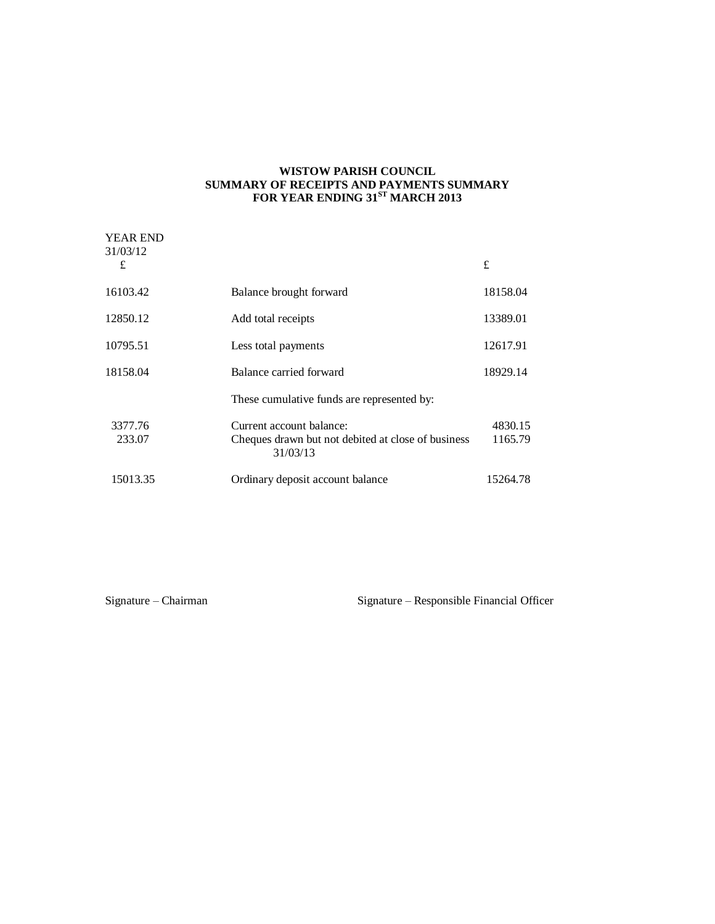### **WISTOW PARISH COUNCIL SUMMARY OF RECEIPTS AND PAYMENTS SUMMARY FOR YEAR ENDING 31ST MARCH 2013**

| <b>YEAR END</b><br>31/03/12<br>£ |                                                                                            | £                  |
|----------------------------------|--------------------------------------------------------------------------------------------|--------------------|
|                                  |                                                                                            |                    |
| 16103.42                         | Balance brought forward                                                                    | 18158.04           |
| 12850.12                         | Add total receipts                                                                         | 13389.01           |
| 10795.51                         | Less total payments                                                                        | 12617.91           |
| 18158.04                         | Balance carried forward                                                                    | 18929.14           |
|                                  | These cumulative funds are represented by:                                                 |                    |
| 3377.76<br>233.07                | Current account balance:<br>Cheques drawn but not debited at close of business<br>31/03/13 | 4830.15<br>1165.79 |
| 15013.35                         | Ordinary deposit account balance                                                           | 15264.78           |

Signature – Chairman Signature – Responsible Financial Officer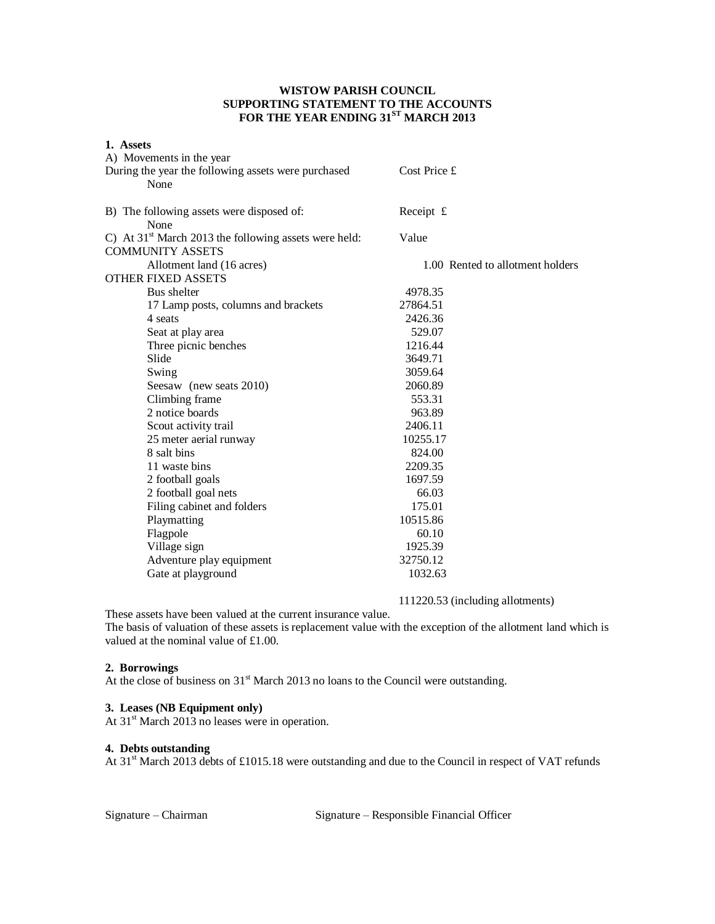## **WISTOW PARISH COUNCIL SUPPORTING STATEMENT TO THE ACCOUNTS FOR THE YEAR ENDING 31ST MARCH 2013**

| 1. Assets                                               |                                  |
|---------------------------------------------------------|----------------------------------|
| A) Movements in the year                                |                                  |
| During the year the following assets were purchased     | Cost Price £                     |
| None                                                    |                                  |
|                                                         |                                  |
| B) The following assets were disposed of:<br>None       | Receipt £                        |
| C) At $31st$ March 2013 the following assets were held: | Value                            |
| <b>COMMUNITY ASSETS</b>                                 |                                  |
| Allotment land (16 acres)                               | 1.00 Rented to allotment holders |
| <b>OTHER FIXED ASSETS</b>                               |                                  |
| Bus shelter                                             | 4978.35                          |
| 17 Lamp posts, columns and brackets                     | 27864.51                         |
| 4 seats                                                 | 2426.36                          |
| Seat at play area                                       | 529.07                           |
| Three picnic benches                                    | 1216.44                          |
| Slide                                                   | 3649.71                          |
| Swing                                                   | 3059.64                          |
| Seesaw (new seats 2010)                                 | 2060.89                          |
| Climbing frame                                          | 553.31                           |
| 2 notice boards                                         | 963.89                           |
| Scout activity trail                                    | 2406.11                          |
| 25 meter aerial runway                                  | 10255.17                         |
| 8 salt bins                                             | 824.00                           |
| 11 waste bins                                           | 2209.35                          |
| 2 football goals                                        | 1697.59                          |
| 2 football goal nets                                    | 66.03                            |
| Filing cabinet and folders                              | 175.01                           |
| Playmatting                                             | 10515.86                         |
| Flagpole                                                | 60.10                            |
| Village sign                                            | 1925.39                          |
| Adventure play equipment                                | 32750.12                         |
| Gate at playground                                      | 1032.63                          |

111220.53 (including allotments)

These assets have been valued at the current insurance value.

The basis of valuation of these assets is replacement value with the exception of the allotment land which is valued at the nominal value of £1.00.

### **2. Borrowings**

At the close of business on 31<sup>st</sup> March 2013 no loans to the Council were outstanding.

### **3. Leases (NB Equipment only)**

At 31<sup>st</sup> March 2013 no leases were in operation.

# **4. Debts outstanding**

At 31<sup>st</sup> March 2013 debts of £1015.18 were outstanding and due to the Council in respect of VAT refunds

Signature – Chairman Signature – Responsible Financial Officer